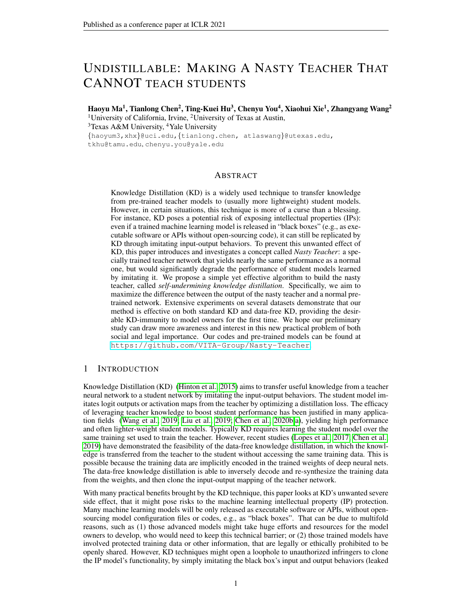# UNDISTILLABLE: MAKING A NASTY TEACHER THAT CANNOT TEACH STUDENTS

Haoyu Ma<sup>1</sup>, Tianlong Chen<sup>2</sup>, Ting-Kuei Hu<sup>3</sup>, Chenyu You<sup>4</sup>, Xiaohui Xie<sup>1</sup>, Zhangyang Wang<sup>2</sup> <sup>1</sup>University of California, Irvine, <sup>2</sup>University of Texas at Austin, <sup>3</sup>Texas A&M University, <sup>4</sup>Yale University {haoyum3,xhx}@uci.edu,{tianlong.chen, atlaswang}@utexas.edu, tkhu@tamu.edu, chenyu.you@yale.edu

## ABSTRACT

Knowledge Distillation (KD) is a widely used technique to transfer knowledge from pre-trained teacher models to (usually more lightweight) student models. However, in certain situations, this technique is more of a curse than a blessing. For instance, KD poses a potential risk of exposing intellectual properties (IPs): even if a trained machine learning model is released in "black boxes" (e.g., as executable software or APIs without open-sourcing code), it can still be replicated by KD through imitating input-output behaviors. To prevent this unwanted effect of KD, this paper introduces and investigates a concept called *Nasty Teacher*: a specially trained teacher network that yields nearly the same performance as a normal one, but would significantly degrade the performance of student models learned by imitating it. We propose a simple yet effective algorithm to build the nasty teacher, called *self-undermining knowledge distillation*. Specifically, we aim to maximize the difference between the output of the nasty teacher and a normal pretrained network. Extensive experiments on several datasets demonstrate that our method is effective on both standard KD and data-free KD, providing the desirable KD-immunity to model owners for the first time. We hope our preliminary study can draw more awareness and interest in this new practical problem of both social and legal importance. Our codes and pre-trained models can be found at <https://github.com/VITA-Group/Nasty-Teacher>.

## 1 INTRODUCTION

Knowledge Distillation (KD) [\(Hinton et al., 2015\)](#page-9-0) aims to transfer useful knowledge from a teacher neural network to a student network by imitating the input-output behaviors. The student model imitates logit outputs or activation maps from the teacher by optimizing a distillation loss. The efficacy of leveraging teacher knowledge to boost student performance has been justified in many application fields [\(Wang et al., 2019;](#page-10-0) [Liu et al., 2019;](#page-10-1) [Chen et al., 2020b](#page-9-1)[;a\)](#page-9-2), yielding high performance and often lighter-weight student models. Typically KD requires learning the student model over the same training set used to train the teacher. However, recent studies [\(Lopes et al., 2017;](#page-10-2) [Chen et al.,](#page-9-3) [2019\)](#page-9-3) have demonstrated the feasibility of the data-free knowledge distillation, in which the knowledge is transferred from the teacher to the student without accessing the same training data. This is possible because the training data are implicitly encoded in the trained weights of deep neural nets. The data-free knowledge distillation is able to inversely decode and re-synthesize the training data from the weights, and then clone the input-output mapping of the teacher network.

With many practical benefits brought by the KD technique, this paper looks at KD's unwanted severe side effect, that it might pose risks to the machine learning intellectual property (IP) protection. Many machine learning models will be only released as executable software or APIs, without opensourcing model configuration files or codes, e.g., as "black boxes". That can be due to multifold reasons, such as (1) those advanced models might take huge efforts and resources for the model owners to develop, who would need to keep this technical barrier; or (2) those trained models have involved protected training data or other information, that are legally or ethically prohibited to be openly shared. However, KD techniques might open a loophole to unauthorized infringers to clone the IP model's functionality, by simply imitating the black box's input and output behaviors (leaked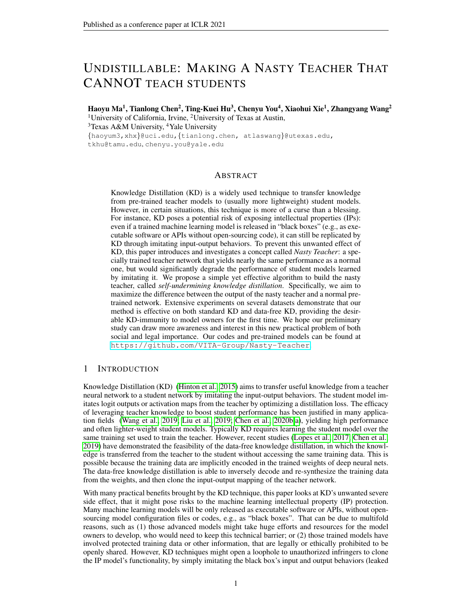knowledge). The feasibility of data-free KD [\(Chen et al., 2019;](#page-9-3) [Yin et al., 2020\)](#page-10-3) eliminates the necessity of accessing original training data, therefore making this cloning more practically feasible. Even worse, those techniques point to reverse-engineering ways [\(Yin et al., 2020\)](#page-10-3) to recover the (potentially private) training data from black-box models, threatening the owners' data privacy and security [\(Yonetani et al., 2017;](#page-11-0) [Wu et al., 2018\)](#page-10-4).

To alleviate the issue, this paper introduces a defensive approach for model owners, called *Nasty Teacher*. A nasty teacher is a specially trained network that yields nearly the same performance as a normal one; but if used as a teacher model, it will significantly degrade the performance of student models that try to imitate it. In general, the concept of nasty teacher is related to the **backdoor** attack on deep learning systems [\(Chen et al., 2017\)](#page-9-4), which creates a model to fit "adversarial" goals in an "imperceptible" way. However, while backdoor attacks aim to manipulate or damage the performance of the poisoned model itself when triggered by specific inputs, the goal of the nasty teacher is to undermine the performance of any student network derived from it. The primary objective of constructing a nasty teacher is for model protection - a novel motivation and setting that have not been explored before. Our contributions are summarized as follows:

We introduce the novel concept of *Nasty Teacher*, a defensive approach to prevent knowledge leaking and unauthorized model cloning through KD without sacrificing performance. We consider it a promising first step towards machine learning IP and privacy protection.

We propose a simple yet efficient algorithm, called *self-undermining knowledge distillation*, to directly build a nasty teacher through self-training, requiring no additional dataset nor auxiliary network. Specifically, the model is optimized by maximizing the difference between the nasty teacher (the desired one) and a normally trained counterpart.

We conduct extensive experiments on both standard KD and data-free KD approaches, and demonstrate that nasty teacher trained by self-undermining KD can achieve nearly the same accuracy as their original counterpart (less than 1% accuracy gap), while the student model learned from it will degrade accuracy by up to over 10% or even diverge during training.

# 2 RELATED WORK

# 2.1 KNOWLEDGE DISTILLATION

Knowledge distillation aims to boost the performance of light-weight models (students) under the guidance of well-trained complicated networks (teachers). It is firstly introduced in [\(Hinton et al.,](#page-9-0) [2015\)](#page-9-0), where the student directly mimics the soft probabilities output produced by the well pretrained teacher. The following researchers explore the knowledge transferal from either intermediate features [\(Romero et al., 2014;](#page-10-5) [Zagoruyko & Komodakis, 2016;](#page-11-1) [Passalis & Tefas, 2018;](#page-10-6) [Ahn](#page-9-5) [et al., 2019;](#page-9-5) [Li et al., 2020\)](#page-9-6), or logit responses [\(Park et al., 2019;](#page-10-7) [Mirzadeh et al., 2019;](#page-10-8) [Chen et al.,](#page-9-7) [2021a](#page-9-7)[;b;](#page-9-8) [Ma et al., 2021\)](#page-10-9). Recent studies have also shown that, instead of distilling from a complicated teacher, the student networks can even be boosted by learning from its own pre-trained version [\(Furlanello et al., 2018;](#page-9-9) [Zhang et al., 2019;](#page-11-2) [Yun et al., 2020;](#page-11-3) [Yuan et al., 2020\)](#page-11-4).

Several recent works also focus on data-free knowledge distillation, under which settings students are not able to access the data used to train teachers. In [\(Lopes et al., 2017\)](#page-10-2), the author attempts to reconstruct input data by exploring encoded meta-data lying in the pre-trained teacher network. In the following work, the author of [\(Chen et al., 2019\)](#page-9-3) proposes a learning scheme, called "Data-Free Learning" (DAFL), which treats the teacher as a fixed discriminator, and jointly trains a generator to synthesize training examples so that maximum responses could be obtained on the discriminator. The latest work "DeepInversion" [\(Yin et al., 2020\)](#page-10-3) directly synthesizes input images given random noise by "inverting" a trained network. Specifically, their method optimizes the input random noise into high-fidelity images with a fixed pre-trained network (teacher).

# 2.2 POISONING ATTACK ON NEURAL NETWORK

The typical goal of poisoning attack is to degrade the accuracy of models by injecting poisoned data into training set [\(Xiao et al., 2015;](#page-10-10) [Moosavi-Dezfooli et al., 2016\)](#page-10-11). On the contrary, backdoor attack intends to open a loophole (usually unperceived) to the model via inserting well-crafted malicious data into training set [\(Chen et al., 2017;](#page-9-4) [Gu et al., 2017;](#page-9-10) [Kurita et al., 2020\)](#page-9-11). The goal of back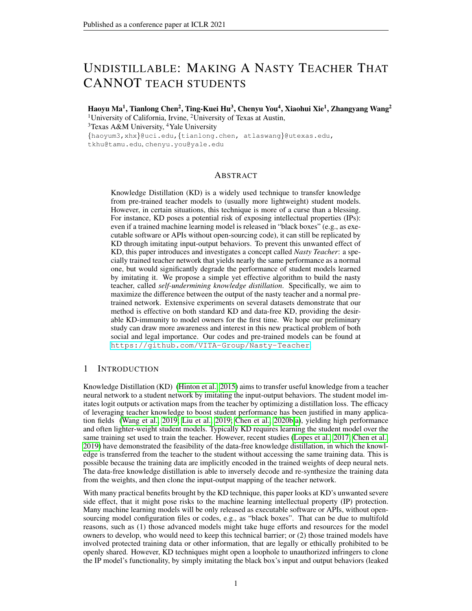door attack is to make the poisoned model perform normally well for most of the time, yet failing specifically when attacker-triggered signals are given.

Our proposed self-undermining knowledge distillation aims to create a special teacher model (i.e., an undistillable model), which normally performs by itself but "triggers to fail" only when being mimiced through KD. The motivation looks similar to backdoor attack's at the first glance, but differs in the following aspects. Firstly, the backdoor attack can only be triggered by pre-defined patterns, while our nasty teachers target at degrading any arbitrary student network through KD. Secondly, backdoor attack tends to poison the model itself, while our nasty teacher aims to undermine other student networks while preservingits own performance. Thirdly, our goal is to prevent knowledge leaking in order to protect released IP, as a defensive point of view, while the backdoor attack tends to break down the system by triggering attacking signals, as an attacking point of view.

## 2.3 PROTECTION OF MODEL IP

Due to the commercial value, IP protection for deep networks has drawn increasing interests from both academia and industry. Previous methods usually rely on watermark-based [\(Uchida et al.,](#page-10-12) [2017;](#page-10-12) [Zhang et al., 2020a\)](#page-11-5) or passport-based [\(Fan et al., 2019;](#page-9-12) [Zhang et al., 2020b\)](#page-11-6) ownership verification methods to protect the IP. Nevertheless, these methods can only detect IP infringement but remain ineffective to avoid model cloning.

A few recent works also explore defensive methods against model stealing [\(Kariyappa & Qureshi,](#page-9-13) [2020;](#page-9-13) [Juuti et al., 2019;](#page-9-14) [Orekondy et al., 2020\)](#page-10-13). Typically, they assume attackers obtain pseudolabels on their own synthetic data or surrogate data by querying the black-box model, and train a network on the new dataset to clone the model. However, none of these defense approaches have explored the KD-based model stealing, which is rather a practical threat.

# 3 METHODOLOGY

## 3.1 REVISITING KNOWLEDGE DISTILLATION

Knowledge distillation [\(Hinton et al., 2015\)](#page-9-0) helps the training process of "student" networks by distilling knowledge from one or multiple well-trained "teacher" networks. The key idea is to leverage soft probabilities output of teacher networks, of which incorrect-class assignments reveal the way how teacher networks generalize from previous training. By mimicking probabilities output, student networks are able to imbibe the knowledge that teacher networks have discovered before, and the performance of student networks is usually better than those being trained with labels only. In what follows, we formally formulate the learning process of knowledge distillation.

Given a pre-trained teacher network  $f_{\theta_T}(\cdot)$  and a student network  $f_{\theta_S}(\cdot)$ , where  $\theta_T$  and  $\theta_S$  denote the network parameters, the goal of knowledge distillation is to force the output probabilities of  $f_{\theta_S}(\cdot)$ to be close to that of  $f_{\theta_T}$  (). Let  $(x_i, y_i)$  denote a training sample in dataset X and  $p_{f_{\theta}}(x_i)$  indicate the logit response of  $x_i$  from  $f_\theta()$ , the student network  $f_{\theta_S}$  could be learned by the following:

<span id="page-2-0"></span>
$$
\min_{\theta_S} \sum_{(x_i, y_i) \geq X} \alpha \tau_s^2 \mathcal{K} \mathcal{L}(\sigma_{\tau_s}(p_{f_{\theta_T}}(x_i)), \sigma_{\tau_s}(p_{f_{\theta_S}}(x_i))) + (1 \quad \alpha) \mathcal{K} \mathcal{E}(\sigma(p_{f_{\theta_S}}(x_i)), y_i), \quad (1)
$$

where  $KL($ ,  $)$  and  $XE($ ,  $)$  are Kullback-Leibler divergence (K-L divergence) and cross-entropy loss, respectively. The introduced "softmax temperature" function  $\sigma_{\tau_s}$  () [\(Hinton et al., 2015\)](#page-9-0) produces soft probabilities output when a large temperature  $\tau_s$  (usually greater than 1) is picked, and it decays to normal softmax function  $\sigma()$  when  $\tau_s$  equals 1. Another hyper-parameter  $\alpha$  is also introduced to balance between knowledge distillation and cost minimization.

## 3.2 TRAINING NASTY TEACHERS: RATIONALE AND IMPLEMENTATION

Rationale The goal of nasty teacher training endeavors to create a special teacher network, of which performance is nearly the same as its normal counterpart, that any arbitrary student networks *cannot* distill knowledge from it. To this end, we propose a simple yet effective algorithm, dubbed *Self-Undermining Knowledge Distillation*, while maintaining its correct class assignments, maximally disturbing its in-correct class assignments so that no beneficial information could be distilled from it, as described next.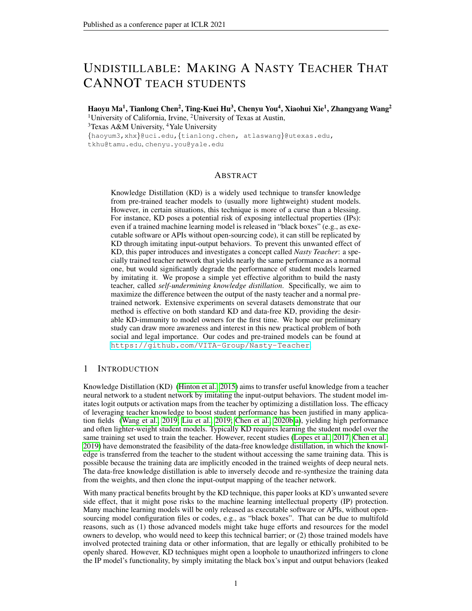Let  $f_{\theta_T}$  () and  $f_{\theta_A}$  () denote the desired nasty teacher and its adversarial learning counterpart, the self-undermining training aims to maximize the K-L divergence between the adversarial network and the nasty teacher one, so that a false sense of generalization could be output from the nasty teacher. The learning process of the nasty teacher could be formulated as follows,

<span id="page-3-0"></span>
$$
\min_{\theta_T} \sum_{(x_i, y_i) \ge X} X E(\sigma(p_{f_{\theta_T}}(x_i)), y_i) \quad \omega \tau_A^2 K \mathcal{L}(\sigma_{\tau_A}(p_{f_{\theta_T}}(x_i)), \sigma_{\tau_A}(p_{f_{\theta_A}}(x_i))), \tag{2}
$$

where the former term aims to maintain the accuracy of the nasty teacher by minimizing the cross entropy loss, and the latter term achieves the "undistillability" by maximizing KL divergence between the nasty teacher and the adversarial one. Similarly in equation [1,](#page-2-0)  $\tau_A$  denotes the temperature for self-undermining, and  $\omega$  balances the behavior between normal training and adversarial learning.

**Implementation** We naturally choose the same network architecture for  $f_{\theta_T}$  () and  $f_{\theta_A}$  () (yet different group of network parameters) since no additional assumption on network architecture is made here. We provide a throughout study with respect to the selection of architectures in [4.3,](#page-6-0) revealing how the architecture of  $f_{\theta_A}$  () influences the adversarial training. As for the update rule, the parameter of  $f_{\theta_A}(\cdot)$  is typically normally **pre-trained in advance** and **fixed** during adversarial training, and only the parameter of  $f_{\theta_T}(\,)$  is updated. Note that the selected temperature  $\tau_A$  does not to be necessary the same as  $\tau_s$  in equation [1,](#page-2-0) and we provide a comprehensive study with respect to  $\tau_s$  in [4.3.](#page-6-0) Once upon finishing adversarial training, the nasty teacher  $f_{\theta_T}(\cdot)$  could be released within defense of KD-based model stealing.

#### 4 EXPERIMENTS

#### 4.1 NASTY TEACHER ON STANDARD KNOWLEDGE DISTILLATION

To evaluate the effectiveness of our nasty teachers, we firstly execute self-undermining training to create nasty teachers based on equation [2.](#page-3-0) Then, given an arbitrary student network, we evaluate the performance of nasty teachers by carrying out knowledge distillation from equation [1](#page-2-0) to recognize how much nasty teachers go against KD-based model stealing.

#### 4.1.1 EXPERIMENTAL SETUP

Network. We explore the effectiveness of our nasty teachers on three representative datasets, i.e., CIFAR-10, CIFAR-100, and Tiny-ImageNet. Firstly, we consider ResNet-18 (teacher network) and 5-layer plain CNN (student network) as our baseline experiment in CIFAR-10, and replace the student network with two simplified ResNets designed for CIFAR-10 [\(He et al., 2016\)](#page-9-15), i.e., ResNetC-20 and ResNetC-32, to explore the degree of impact with respect to the capacity of student networks. For both CIFAR-100 and Tiny-ImageNet, we follow the similar setting in [\(Yuan et al., 2020\)](#page-11-4), where three networks from ResNet family, i.e., ResNet-18, ResNet-50 and ResNeXt-29, are considered as teacher networks, and three widely used light-weight networks, i.e., MobileNetV2 [\(Sandler et al.,](#page-10-14) [2018\)](#page-10-14), ShuffleNetV2 [\(Ma et al., 2018\)](#page-10-15) and ResNet-18, are served as student networks. Following the "self-KD" setting in [\(Yuan et al., 2020\)](#page-11-4), an additional comparative experiment, dubbed "Teacher Self", is provided, where the architectures of the student and the teacher are set to be identical.

**Training.** The distilling temperature  $\tau_A$  for self-undermining training is set to 4 for CIFAR-10 and 20 for both CIFAR-100 and Tiny-ImageNet as suggested in [\(Yuan et al., 2020\)](#page-11-4). For the selection of  $\omega$ , 0.004, 0.005, and 0.01 are picked for CIFAR-10, CIFAR-100, and Tiny-ImageNet, respectively. For the plain CNN, we train it with a learning rate of 1e 3 for 100 epochs and optimize it by Adam optimizer [\(Kingma & Ba, 2014\)](#page-9-16). Other networks are optimized by SGD optimizer with momentum 0.9 and weight decay 5e 4. The learning rate is initialized as 0.1. Networks are trained by 160 epochs with learning rate decayed by a factor of 10 at the 80th and 120th epoch for CIFAR-10, and 200 epochs with learning rate decayed by a factor of 5 at the 60th, 120th and 160th epoch for CIFAR-100 and Tiny-ImageNet. Without specifically mentioned, the temperature  $\tau_s$  is the same as  $\tau_A$ , which is used for self-undermining training.

#### 4.1.2 EXPERIMENTAL RESULTS

Our experimental results on CIFAR-10, CIFAR-100, and Tiny-ImageNet are presented in Table [1,](#page-4-0) Table [2](#page-4-1) and Table [3,](#page-4-2) respectively. Firstly, we observe that all nasty teachers still perform similarly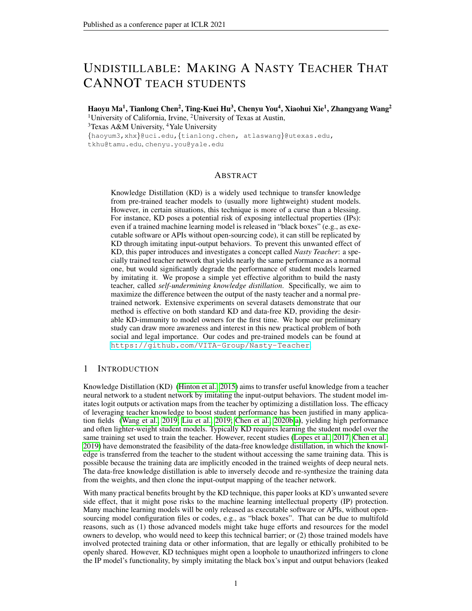as their normal counterparts by at most 2% accuracy drop. Secondly, in contrast to normally trained teacher networks, from which the accuracy of student networks could be boosted by at most

4% by distilling, no student network can benefit from distilling the knowledge of nasty teachers. It indicates that our nasty teachers could successfully provide a false sense of generalization to student networks, resulting in decreases of accuracy by 1.72% to 67.57%. We also notice that weak student networks (e.g. MobilenetV2) could be much more poisoned from distilling toxic knowledge than stronger networks (e.g., ResNet-18), since light-weight networks intend to rely more on the guidance from teachers. It terms out that KD-based model stealing is no longer practical if the released model is "nasty" in this sense. Additional experiments, dubbed "Teacher Self", are also provided here. Opposite to the conclusion drew in [\(Yuan et al., 2020\)](#page-11-4), the student network still cannot be profited from the teacher network even if their architectures are exactly the same. The aforementioned experiments have justified the efficacy of the proposed self-undermining training.

| Teacher            | Teacher        | Students performance after KD |                                 |                 |                 |  |
|--------------------|----------------|-------------------------------|---------------------------------|-----------------|-----------------|--|
| network            | performance    | <b>CNN</b>                    | ResNetC-20                      | ResNetC-32      | ResNet-18       |  |
| Student baseline   |                | 86.64                         | 92.28                           | 93.04           | 95.13           |  |
| ResNet-18 (normal) | 95.13          |                               | $87.75 (+1.11)$   92.49 (+0.21) | $93.31 (+0.27)$ | $95.39 (+0.26)$ |  |
| ResNet-18 (nasty)  | $94.56(-0.57)$ | $82.46(-4.18)$                | 88.01 (-4.27)                   | $89.69(-3.35)$  | $93.41(-1.72)$  |  |

<span id="page-4-1"></span><span id="page-4-0"></span>Table 1: Experimental results on CIFAR-10.

| Table 2: Experimental results on CIFAR-100. |                        |                               |                         |                 |                     |  |
|---------------------------------------------|------------------------|-------------------------------|-------------------------|-----------------|---------------------|--|
| Teacher<br>network                          | Teacher<br>performance | Students performance after KD |                         |                 |                     |  |
|                                             |                        | Shufflenetv2                  | Mobilenet <sub>V2</sub> | ResNet-18       | <b>Teacher Self</b> |  |
| Student baseline                            | -                      | 71.17                         | 69.12                   | 77.44           |                     |  |
| ResNet-18 (normal)                          | 77.44                  | $74.24 (+3.07)$               | $73.11 (+3.99)$         | $79.03 (+1.59)$ | $79.03 (+1.59)$     |  |
| ResNet-18 (nasty)                           | $77.42(-0.02)$         | $64.49(-6.68)$                | $3.45(-65.67)$          | 74.81 (-2.63)   | 74.81 (-2.63)       |  |
| ResNet-50 (normal)                          | 78.12                  | $74.00 (+2.83)$               | $72.81 (+3.69)$         | $79.65 (+2.21)$ | $80.02 (+1.96)$     |  |
| ResNet-50 (nasty)                           | $77.14(-0.98)$         | $63.16(-8.01)$                | $3.36(-65.76)$          | $71.94(-5.50)$  | $75.03(-3.09)$      |  |
| ResNeXt-29 (normal)                         | 81.85                  | $74.50 (+3.33)$               | $72.43 (+3.31)$         | $80.84 (+3.40)$ | $83.53 (+1.68)$     |  |
| $ResNeXt-29$ (nasty)                        | $80.26(-1.59)$         | 58.99 (-12.18)                | $1.55(-67.57)$          | $68.52(-8.92)$  | $75.08(-6.77)$      |  |

<span id="page-4-2"></span>

| Table 3: Experimental results on Tiny-ImageNet |  |  |
|------------------------------------------------|--|--|
|                                                |  |  |

| Teacher               | Teacher                  | Students performance after KD |                         |                 |                     |
|-----------------------|--------------------------|-------------------------------|-------------------------|-----------------|---------------------|
| network               | performance              | Shufflenetv2                  | Mobilenet <sub>V2</sub> | ResNet-18       | <b>Teacher Self</b> |
| Student baseline      | $\overline{\phantom{a}}$ | 55.74                         | 51.72                   | 58.73           |                     |
| ResNet-18 (normal)    | 58.73                    | $58.09 (+2.35)$               | 55.99 (+4.27)           | $61.45 (+2.72)$ | $61.45 (+2.72)$     |
| ResNet-18 (nasty)     | 57.77 (-0.96)            | $23.16(-32.58)$               | $1.82(-49.90)$          | 44.73 (-14.00)  | 44.73 (-14.00)      |
| ResNet-50 (normal)    | 62.01                    | $58.01 (+2.27)$               | $54.18 (+2.46)$         | $62.01 (+3.28)$ | $63.91 (+1.90)$     |
| ResNet-50 (nasty)     | $60.06(-1.95)$           | $41.84(-13.90)$               | $1.41(-50.31)$          | 48.24 (-10.49)  | 51.27 (-10.74)      |
| $ResNeXt-29$ (normal) | 62.81                    | $57.87 (+2.13)$               | $54.34 (+2.62)$         | $62.38 (+3.65)$ | $64.22 (+1.41)$     |
| ResNeXt29 (nasty)     | $60.21(-2.60)$           | $42.73(-13.01)$               | $1.09(-50.63)$          | 54.53 (-4.20)   | 59.54 (-3.27)       |

#### 4.2 QUALITATIVE ANALYSIS

We present visualizations of our nasty ResNet-18 and the normal ResNet-18 on CIFAR-10 to qualitatively analyze the behavior of nasty teachers. Figure [1](#page-5-0) visualizes the logit responses of normal ResNet-18 and its nasty counterpart after "softmax temperature" function. We notice that the logit response of nasty ResNet-18 consists of multiple peaks, where normal ResNet-18 consistently outputs a single peak. We observe that the class-wise multi-peak responses might be un-correlated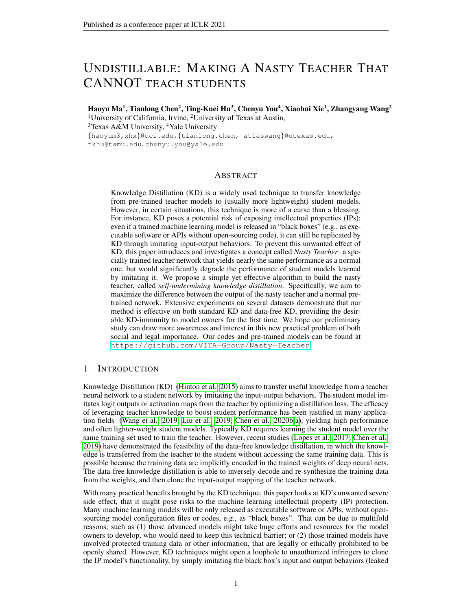to the sense of generalization. For instance, the class-wise output of bird and dog might both respond actively, and it will give a false sense of generalization to student networks. We hypothesize that the multi-peak logits misleads the learning from the knowledge distillation and degrades the performance of students.

We also present the visualizations of t-Distributed Stochastic Neighbor Embedding (t-SNE) for both feature embeddings and output logits, as illustrated in Figure [2.](#page-5-1) It is observed that the feature-space inter-class distance of nasty ResNet-18 and the normal ResNet-18 behaves similarly, which aligns with our goal that nasty teachers should perform similarly to their normal counterparts. Meanwhile, we also observe that the logit response of nasty ResNet-18 has been heavily shifted, and it entails that our method mainly modifies the weights in the final fully-connected layer.



<span id="page-5-0"></span>Figure 1: The visualization of logit responses after "temperature softmax" function. Each row represents two examples from CIFAR-10. The sampled images are shown in the 1st and the 4th columns. The 2nd and the 5th columns summarize the scaled output from the normal teacher. The 3rd and the 6th columns represent the scaled output from the nasty teacher



(a) tSNE of feature embeddings before fully-connected layer. The dimension of feature embeddings is 512.



(b) tSNE of output logits

<span id="page-5-1"></span>Figure 2: Visualization of tSNEs for both normal and nasty ResNet18 on CIFAR-10. Each dot represents one data point.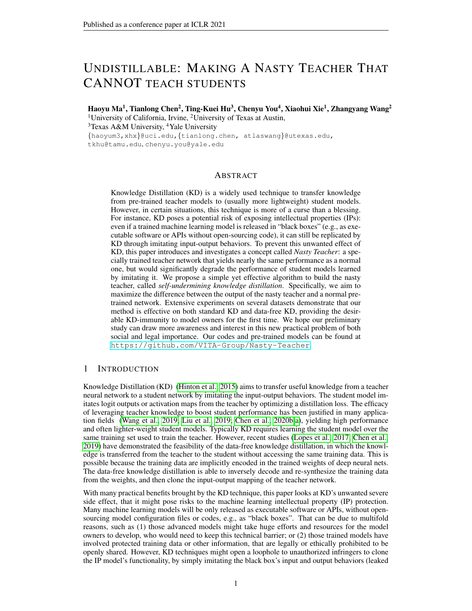#### <span id="page-6-0"></span>4.3 ABLATION STUDY

Adversarial Network. Instead of choosing the same architecture for both nasty teacher and adversarial network, we vary the architecture of the adversarial network to measure the consequent influence with respect to different network structures. As illustrated in Table [4,](#page-6-1) our training method shows the generality to various architectures (e.g., ResNet-18, ResNext-29, etc), and we also notice that weak networks (e.g., Plain CNN) might lead to less effective nasty teachers. However, although stronger networks contribute to more effective nasty teachers, we observe that the tradeoff accuracy is saturated quickly and converges to "self-undermining" ones. Thus, we consider the "self-undermining" training as a convenient fallback choice.

| Teacher              | Teacher        | Students after KD |                 |                 |                 |  |
|----------------------|----------------|-------------------|-----------------|-----------------|-----------------|--|
| network              | performance    | <b>CNN</b>        | ResNetC20       | ResNetC32       | ResNet18        |  |
| Student baseline     |                | 86.64             | 92.28           | 93.04           | 95.13           |  |
| ResNet18(normal)     | 95.13          | $87.75 (+1.11)$   | $92.49 (+0.21)$ | $93.31 (+0.27)$ | $95.39 (+0.26)$ |  |
| ResNet18(ResNet18)   | $94.56(-0.57)$ | $82.46(-4.18)$    | 88.01 (-4.27)   | $89.69(-3.35)$  | $93.41(-1.72)$  |  |
| ResNet18(CNN)        | $93.82(-1.31)$ | 77.12 (-9.52)     | 88.32 (-3.96)   | $90.40(-2.64)$  | $94.05(-1.08)$  |  |
| ResNet18(ResNeXt-29) | $94.55(-0.58)$ | $82.75(-3.89)$    | $88.17(-4.11)$  | 89.48 (-3.56)   | $93.75(-1.38)$  |  |

<span id="page-6-1"></span>Table 4: Ablation study w.r.t the architecture of the adversarial network  $f_{\theta_A}$  () on CIFAR-10.

Students Network. In practice, the owners of teacher networks have no knowledge of student's architecture, and it is possible that the student is more complicated than the teacher. As the *Reversed KD* in [Yuan et al.](#page-11-4) [\(2020\)](#page-11-4), the superior network can also be enhanced by learning from a weak network. To explore the generalization ability of our method, we further conduct experiments on the reversed KD. In detail, we consider the ResNet-18 as teacher, and ResNet-50 and ResNeX29 as students. From Table [5,](#page-6-2) these two sophisticated students can still be slightly improved by distilling from a normal ResNet-18 in most cases, while be degraded by distilling from a nasty ResNet-18. This implies that our method is also effective for the reversed KD setting.

<span id="page-6-2"></span>Table 5: Ablation study w.r.t the architecture of the student networks.

| <b>Dataset</b>                                                                             |           | CIFAR-10                                         | CIFAR-100 |               |  |
|--------------------------------------------------------------------------------------------|-----------|--------------------------------------------------|-----------|---------------|--|
| Student network                                                                            | ResNet-50 | ResNeXt-29                                       | ResNet-50 | ResNeXt-29    |  |
| Student baseline                                                                           | 94.98     | 95.60                                            | 78.12     | 81.85         |  |
| KD from ResNet-18 (normal)   94.45 (-0.53)   95.92 (+0.32)   79.94 (+1.82)   82.14 (+0.29) |           |                                                  |           |               |  |
| KD from ResNet-18 (nasty)                                                                  |           | $93.13(-1.85)$   $92.20(-3.40)$   $74.28(-3.84)$ |           | 78.88 (-2.97) |  |

Weight  $\omega$ . As illustrated in Figure [3,](#page-7-0) we vary the weight  $\omega$  from 0 to 0.1 on CIFAR-10 and from 0 to0.01 on CIFAR-100. We show that nasty teachers can degrade the performance of student networks no matter what  $\omega$  is selected. By adjusting  $\omega$ , we could also control the trade-off between performance suffering and nasty behavior. In other words, a more toxic nasty teacher could be learned by picking a larger  $\omega$  at the expense of more accuracy loss.

**Temperature**  $\tau_s$ . By default, the  $\tau_s$ , used for knowledge distillation, is the same as  $\tau_A$ , used in the self-undermining training. To explore the impact of temperature selection, we vary the temperature  $\tau_s$  from 1 to 20, and Figure [4](#page-7-1) presents the accuracy of students after knowledge distillation with the given  $\tau_s$ . We show that nasty teachers could always degrade the performance of students no matter what  $\tau_s$  is picked. Generally, with a larger  $\tau_s$ , the performance of student networks would be degraded more by the nasty teacher since a larger temperature  $\tau_s$  usually lead to more noisy logit outputs. Note that our nasty teacher is still effective even if the student directly distills knowledge from probabilities  $(\tau_s=1)$ .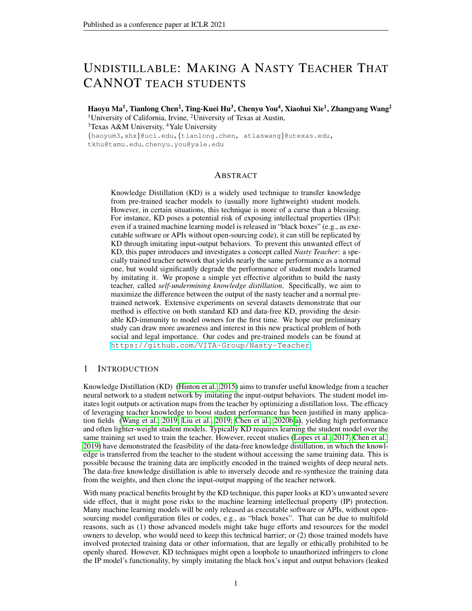

<span id="page-7-0"></span>Figure 3: Ablation study w.r.t ω on CIFAR-10 and CIFAR-100. The initials "T" and "S" in the legend represent teacher networks and student networks, respectively. The dash-line represents the accuracy that the model is normally trained.



<span id="page-7-1"></span>Figure 4: Ablation study w.r.t temperature  $\tau_s$ . The architecture of teacher networks are ResNet-18 for both CIFAR-10 and CIFAR-100 experiments. Each figure presents accuracy curves of student networks under the guidance of the nasty or normal ResNet-18 with various temperature  $\tau_s$ .

**Balance Factor**  $\alpha$ **.** We by default set  $\alpha$  to 0.9 as the common practice in [\(Hinton et al., 2015\)](#page-9-0). To explore the effect of  $\alpha$ , we conduct the experiments by varying  $\alpha$  from 0.1 to 1.0, and the experimental results were summarized in Figure [5\(a\).](#page-7-2) In general, our nasty teachers could degrade the performance of student networks regardless of what  $\alpha$  is selected. We also observe that a small  $\alpha$ can help student networks perform relatively better when distilling from the nasty teacher. However, a small  $\alpha$  also makes the student depend less on the teacher's knowledge and therefore benefit less from KD itself. Therefore, the student cannot easily get rid of the nasty defense while still mincing effectively through KD, by simply tuning  $\alpha$  smaller.

<span id="page-7-2"></span>

<span id="page-7-3"></span>Figure 5: Ablation study with respect to various  $\alpha$  (a) and different percentage of training samples (b). Both experiments are conducted under the supervision of either normal or nasty ResNet-18.

**Percentage of Training Samples.** In practice, stealers (student networks) may not have full access to all training examples. Thus, to reflect the practical scenario of model stealing, we conduct the experiments by varying the percentage of training examples from 10% to 90% and keep other hyperparameters the same. As illustrated in Figure [5\(b\),](#page-7-3) comparing to normally trained teachers, the nasty teachers still consistently contribute negatively to student networks.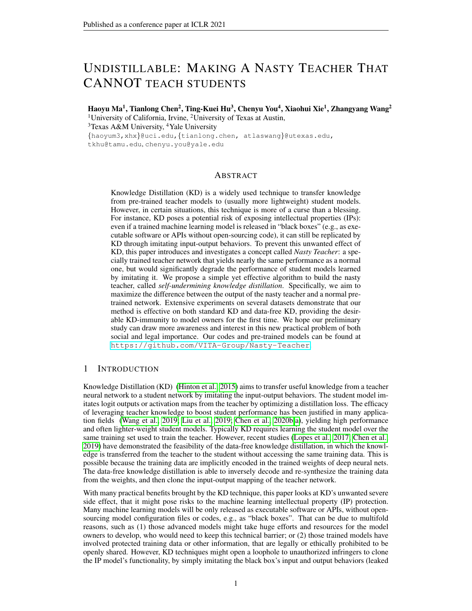#### 4.4 NASTY TEACHER ON DATA-FREE KNOWLEDGE DISTILLATION

Instead of getting full access to all training samples, KD without accessing any training sample is considered a more realistic way to practice model stealing. To reflect the practical behavior of stealers, we evaluate our nasty teachers on two state-of-the-art data-free knowledge distillation methods, i.e., DAFL [\(Chen et al., 2019\)](#page-9-3) and DeepInversion [\(Yin et al., 2020\)](#page-10-3), where students only have access to the probabilities produced by teacher networks. For a fair comparison, we strictly follow the setting in DAFL and adopt ResNet-34 and ResNet-18 as the teacher-student pair for further knowledge distillation. The experiments are conducted on both CIFAR-10 and CIFAR-100, where nasty ResNet-34 is trained by respectively setting  $\omega$  and  $\tau_A$  as 0.04 and 4. The experimental results with regard to DAFL are summarized in Table [6.](#page-8-0) We show that the nasty ResNet-34 largely detriments the accuracy of student networks by more than 5%, in contrast to that under the supervision of normal ResNet-34. Based on DeepInversion, we also present the visualizations in Figure [6,](#page-8-1) where the images are generated by reverse engineering both nasty and normal ResNet-34. We demonstrate that images generated from normal ResNet-34 enable high visual fidelity, while images from nasty ResNet-34 consist of distorted noises and even false category-wise features. This visualization showcases how nasty teachers prevent illegal data reconstruction from reverse engineering.

<span id="page-8-0"></span>

|  | Table 6: Data-free KD from nasty teacher on CIFAR-10 and CIFAR-100 |
|--|--------------------------------------------------------------------|
|  |                                                                    |

| dataset                | $CIFAR-10$              |                | $CIFAR-100$             |                |  |
|------------------------|-------------------------|----------------|-------------------------|----------------|--|
| <b>Teacher Network</b> | <b>Teacher Accuracy</b> | <b>DAFL</b>    | <b>Teacher Accuracy</b> | DAFL           |  |
| ResNet34 (normal)      | 95.42                   | 92.49          | 76.97                   | 71.06          |  |
| ResNet34 (nasty)       | $94.54(-0.88)$          | $86.15(-6.34)$ | 76.12 (-0.79)           | $65.67(-5.39)$ |  |



<span id="page-8-1"></span>(a) Normal Teacher (b) Nasty Teacher

Figure 6: Images generated by inverting a normal ResNet34 and a nasty ResNet34 trained on CIFAR-10 with DeepInversion. For each image, each column represents one category.

# 4.5 DISCUSSION

In practice, the owner of IP can release their sophisticated network defended by self-undermining training, at the cost of acceptable accuracy loss. As the aforementioned experiments show, even if a third-party company owns the same training data, they are not able to leverage knowledge distillation to clone the ability of the released model, since the performance of theirs would be heavily degraded, instead of being boosted as usual. Furthermore, we also show that stealers would suffer more than a 5% drop of accuracy if data-free knowledge distillation is performed, of which performance drop is not acceptable in highly security-demanding applications, such as autonomous driving.

To sum up, our self-undermining training serves as a general approach to avoid unwanted cloning or illegal stealing, from both standard KD and data-free KD. We consider our work as a first step to open the door to preventing the machine learning IP leaking, and we believe that more future work needs to be done beyond this current work.

# 5 CONCLUSION

In this work, we propose the concept of *Nasty Teacher*: a specially trained teacher network that performs nearly the same as a normal one but significantly degrades the performance of student models that distill knowledge from it. Extensive experiments on several datasets quantitatively demonstrate that our nasty teachers are effective under either the setting of standard knowledge distillation or data-free one. We also present qualitative analyses by both visualizing the output of feature embedding and logits response. In the future, we will seek other possibilities to enlarge the current gap so that the proposed concept could be generally applied in practice, for which our current work just lays the first cornerstone.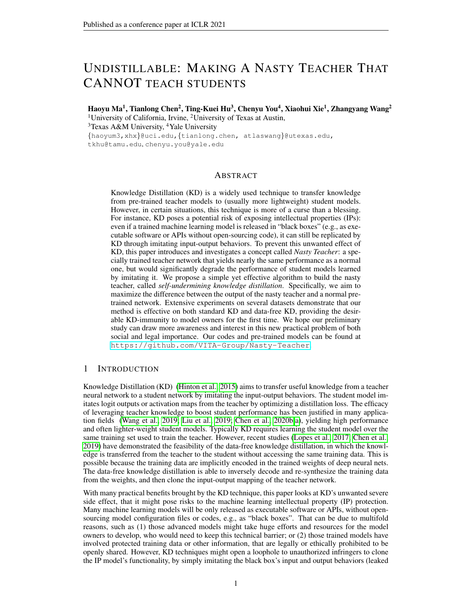### **REFERENCES**

- <span id="page-9-5"></span>Sungsoo Ahn, Shell Xu Hu, Andreas Damianou, Neil D Lawrence, and Zhenwen Dai. Variational information distillation for knowledge transfer. In *Proceedings of the IEEE Conference on Computer Vision and Pattern Recognition*, pp. 9163–9171, 2019.
- <span id="page-9-3"></span>Hanting Chen, Yunhe Wang, Chang Xu, Zhaohui Yang, Chuanjian Liu, Boxin Shi, Chunjing Xu, Chao Xu, and Qi Tian. Data-free learning of student networks. In *Proceedings of the IEEE International Conference on Computer Vision*, pp. 3514–3522, 2019.
- <span id="page-9-2"></span>Hanting Chen, Yunhe Wang, Han Shu, Changyuan Wen, Chunjing Xu, Boxin Shi, Chao Xu, and Chang Xu. Distilling portable generative adversarial networks for image translation. *arXiv preprint arXiv:2003.03519*, 2020a.
- <span id="page-9-7"></span>Tianlong Chen, Zhenyu Zhang, Sijia Liu, Shiyu Chang, and Zhangyang Wang. Long live the lottery: The existence of winning tickets in lifelong learning. In *International Conference on Learning Representations*, 2021a. URL <https://openreview.net/forum?id=LXMSvPmsm0g>.
- <span id="page-9-8"></span>Tianlong Chen, Zhenyu Zhang, Sijia Liu, Shiyu Chang, and Zhangyang Wang. Robust overfitting may be mitigated by properly learned smoothening. In *International Conference on Learning Representations*, 2021b. URL <https://openreview.net/forum?id=qZzy5urZw9>.
- <span id="page-9-1"></span>Xinghao Chen, Yiman Zhang, Yunhe Wang, Han Shu, Chunjing Xu, and Chang Xu. Optical flow distillation: Towards efficient and stable video style transfer. *arXiv preprint arXiv:2007.05146*, 2020b.
- <span id="page-9-4"></span>Xinyun Chen, Chang Liu, Bo Li, Kimberly Lu, and Dawn Song. Targeted backdoor attacks on deep learning systems using data poisoning. *arXiv preprint arXiv:1712.05526*, 2017.
- <span id="page-9-12"></span>Lixin Fan, Kam Woh Ng, and Chee Seng Chan. Rethinking deep neural network ownership verification: Embedding passports to defeat ambiguity attacks. In *Advances in Neural Information Processing Systems*, volume 32. Curran Associates, Inc., 2019.
- <span id="page-9-9"></span>Tommaso Furlanello, Zachary C Lipton, Michael Tschannen, Laurent Itti, and Anima Anandkumar. Born again neural networks. *arXiv preprint arXiv:1805.04770*, 2018.
- <span id="page-9-10"></span>Tianyu Gu, Brendan Dolan-Gavitt, and Siddharth Garg. Badnets: Identifying vulnerabilities in the machine learning model supply chain. *arXiv preprint arXiv:1708.06733*, 2017.
- <span id="page-9-15"></span>Kaiming He, Xiangyu Zhang, Shaoqing Ren, and Jian Sun. Deep residual learning for image recognition. In *Proceedings of the IEEE conference on computer vision and pattern recognition*, pp. 770–778, 2016.
- <span id="page-9-0"></span>Geoffrey Hinton, Oriol Vinyals, and Jeff Dean. Distilling the knowledge in a neural network. *arXiv preprint arXiv:1503.02531*, 2015.
- <span id="page-9-14"></span>Mika Juuti, Sebastian Szyller, Samuel Marchal, and N Asokan. Prada: protecting against dnn model stealing attacks. In *2019 IEEE European Symposium on Security and Privacy (EuroS&P)*, pp. 512–527. IEEE, 2019.
- <span id="page-9-13"></span>Sanjay Kariyappa and Moinuddin K Qureshi. Defending against model stealing attacks with adaptive misinformation. In *Proceedings of the IEEE/CVF Conference on Computer Vision and Pattern Recognition*, pp. 770–778, 2020.
- <span id="page-9-16"></span>Diederik P Kingma and Jimmy Ba. Adam: A method for stochastic optimization. *arXiv preprint arXiv:1412.6980*, 2014.
- <span id="page-9-11"></span>Keita Kurita, Paul Michel, and Graham Neubig. Weight poisoning attacks on pre-trained models. *arXiv preprint arXiv:2004.06660*, 2020.
- <span id="page-9-6"></span>Guilin Li, Junlei Zhang, Yunhe Wang, Chuanjian Liu, Matthias Tan, Yunfeng Lin, Wei Zhang, Jiashi Feng, and Tong Zhang. Residual distillation: Towards portable deep neural networks without shortcuts. *Advances in Neural Information Processing Systems*, 33, 2020.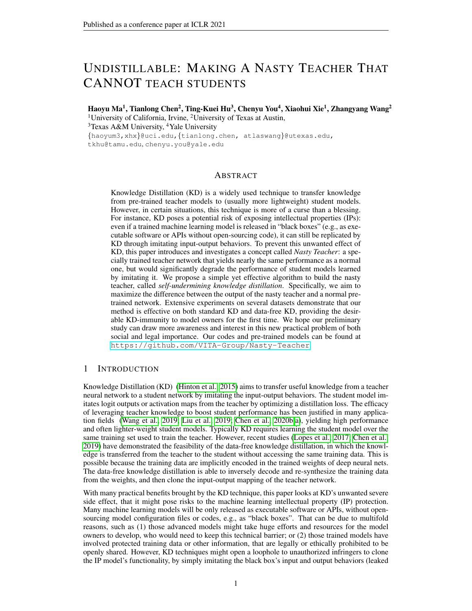- <span id="page-10-1"></span>Yifan Liu, Ke Chen, Chris Liu, Zengchang Qin, Zhenbo Luo, and Jingdong Wang. Structured knowledge distillation for semantic segmentation. In *Proceedings of the IEEE Conference on Computer Vision and Pattern Recognition*, pp. 2604–2613, 2019.
- <span id="page-10-2"></span>Raphael Gontijo Lopes, Stefano Fenu, and Thad Starner. Data-free knowledge distillation for deep neural networks. *arXiv preprint arXiv:1710.07535*, 2017.
- <span id="page-10-9"></span>Haoyu Ma, Tianlong Chen, Ting-Kuei Hu, Chenyu You, Xiaohui Xie, and Zhangyang Wang. Good students play big lottery better. *arXiv*, abs/2101.03255, 2021.
- <span id="page-10-15"></span>Ningning Ma, Xiangyu Zhang, Hai-Tao Zheng, and Jian Sun. Shufflenet v2: Practical guidelines for efficient cnn architecture design. In *Proceedings of the European conference on computer vision (ECCV)*, pp. 116–131, 2018.
- <span id="page-10-8"></span>Seyed-Iman Mirzadeh, Mehrdad Farajtabar, Ang Li, Nir Levine, Akihiro Matsukawa, and Hassan Ghasemzadeh. Improved knowledge distillation via teacher assistant. *arXiv preprint arXiv:1902.03393*, 2019.
- <span id="page-10-11"></span>Seyed-Mohsen Moosavi-Dezfooli, Alhussein Fawzi, and Pascal Frossard. Deepfool: a simple and accurate method to fool deep neural networks. In *Proceedings of the IEEE conference on computer vision and pattern recognition*, pp. 2574–2582, 2016.
- <span id="page-10-13"></span>Tribhuvanesh Orekondy, Bernt Schiele, and Mario Fritz. Prediction poisoning: Towards defenses against dnn model stealing attacks. In *International Conference on Learning Representations*, 2020. URL <https://openreview.net/forum?id=SyevYxHtDB>.
- <span id="page-10-7"></span>Wonpyo Park, Dongju Kim, Yan Lu, and Minsu Cho. Relational knowledge distillation. In *Proceedings of the IEEE Conference on Computer Vision and Pattern Recognition*, pp. 3967–3976, 2019.
- <span id="page-10-6"></span>Nikolaos Passalis and Anastasios Tefas. Learning deep representations with probabilistic knowledge transfer. In *Proceedings of the European Conference on Computer Vision (ECCV)*, pp. 268–284, 2018.
- <span id="page-10-5"></span>Adriana Romero, Nicolas Ballas, Samira Ebrahimi Kahou, Antoine Chassang, Carlo Gatta, and Yoshua Bengio. Fitnets: Hints for thin deep nets. *arXiv preprint arXiv:1412.6550*, 2014.
- <span id="page-10-14"></span>Mark Sandler, Andrew Howard, Menglong Zhu, Andrey Zhmoginov, and Liang-Chieh Chen. Mobilenetv2: Inverted residuals and linear bottlenecks. In *Proceedings of the IEEE conference on computer vision and pattern recognition*, pp. 4510–4520, 2018.
- <span id="page-10-12"></span>Yusuke Uchida, Yuki Nagai, Shigeyuki Sakazawa, and Shin'ichi Satoh. Embedding watermarks into deep neural networks. In *Proceedings of the 2017 ACM on International Conference on Multimedia Retrieval*, pp. 269–277, 2017.
- <span id="page-10-0"></span>Tao Wang, Li Yuan, Xiaopeng Zhang, and Jiashi Feng. Distilling object detectors with fine-grained feature imitation. In *Proceedings of the IEEE Conference on Computer Vision and Pattern Recognition*, pp. 4933–4942, 2019.
- <span id="page-10-4"></span>Zhenyu Wu, Zhangyang Wang, Zhaowen Wang, and Hailin Jin. Towards privacy-preserving visual recognition via adversarial training: A pilot study. In *Proceedings of the European Conference on Computer Vision (ECCV)*, pp. 606–624, 2018.
- <span id="page-10-10"></span>Huang Xiao, Battista Biggio, Gavin Brown, Giorgio Fumera, Claudia Eckert, and Fabio Roli. Is feature selection secure against training data poisoning? In *International Conference on Machine Learning*, pp. 1689–1698, 2015.
- <span id="page-10-3"></span>Hongxu Yin, Pavlo Molchanov, Jose M Alvarez, Zhizhong Li, Arun Mallya, Derek Hoiem, Niraj K Jha, and Jan Kautz. Dreaming to distill: Data-free knowledge transfer via deepinversion. In *Proceedings of the IEEE/CVF Conference on Computer Vision and Pattern Recognition*, pp. 8715–8724, 2020.